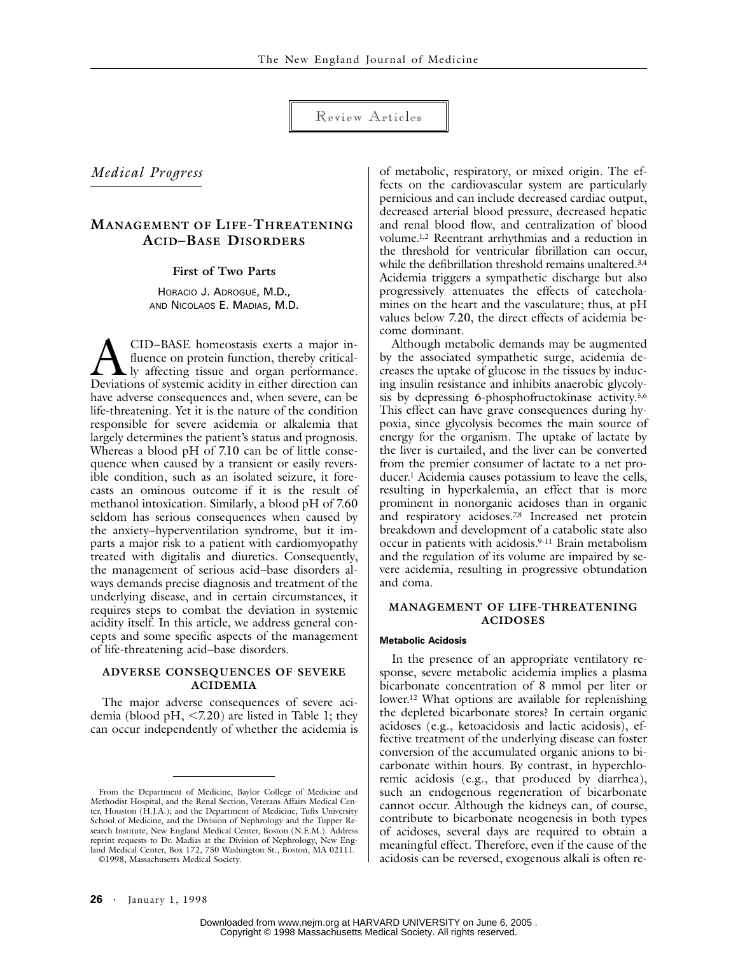Review Articles

*Medical Progress*

# **MANAGEMENT OF LIFE-THREATENING ACID–BASE DISORDERS**

**First of Two Parts**

HORACIO J. ADROGUÉ, M.D., AND NICOLAOS E. MADIAS, M.D.

CID–BASE homeostasis exerts a major influence on protein function, thereby critically affecting tissue and organ performance. CID-BASE homeostasis exerts a major in-<br>fluence on protein function, thereby critical-<br>Deviations of systemic acidity in either direction can have adverse consequences and, when severe, can be life-threatening. Yet it is the nature of the condition responsible for severe acidemia or alkalemia that largely determines the patient's status and prognosis. Whereas a blood pH of 7.10 can be of little consequence when caused by a transient or easily reversible condition, such as an isolated seizure, it forecasts an ominous outcome if it is the result of methanol intoxication. Similarly, a blood pH of 7.60 seldom has serious consequences when caused by the anxiety–hyperventilation syndrome, but it imparts a major risk to a patient with cardiomyopathy treated with digitalis and diuretics. Consequently, the management of serious acid–base disorders always demands precise diagnosis and treatment of the underlying disease, and in certain circumstances, it requires steps to combat the deviation in systemic acidity itself. In this article, we address general concepts and some specific aspects of the management of life-threatening acid–base disorders.

# **ADVERSE CONSEQUENCES OF SEVERE ACIDEMIA**

The major adverse consequences of severe acidemia (blood pH,  $\leq$ 7.20) are listed in Table 1; they can occur independently of whether the acidemia is

©1998, Massachusetts Medical Society.

of metabolic, respiratory, or mixed origin. The effects on the cardiovascular system are particularly pernicious and can include decreased cardiac output, decreased arterial blood pressure, decreased hepatic and renal blood flow, and centralization of blood volume.1,2 Reentrant arrhythmias and a reduction in the threshold for ventricular fibrillation can occur, while the defibrillation threshold remains unaltered.<sup>3,4</sup> Acidemia triggers a sympathetic discharge but also progressively attenuates the effects of catecholamines on the heart and the vasculature; thus, at pH values below 7.20, the direct effects of acidemia become dominant.

Although metabolic demands may be augmented by the associated sympathetic surge, acidemia decreases the uptake of glucose in the tissues by inducing insulin resistance and inhibits anaerobic glycolysis by depressing 6-phosphofructokinase activity.5,6 This effect can have grave consequences during hypoxia, since glycolysis becomes the main source of energy for the organism. The uptake of lactate by the liver is curtailed, and the liver can be converted from the premier consumer of lactate to a net producer.1 Acidemia causes potassium to leave the cells, resulting in hyperkalemia, an effect that is more prominent in nonorganic acidoses than in organic and respiratory acidoses.<sup>7,8</sup> Increased net protein breakdown and development of a catabolic state also occur in patients with acidosis.9-11 Brain metabolism and the regulation of its volume are impaired by severe acidemia, resulting in progressive obtundation and coma.

# **MANAGEMENT OF LIFE-THREATENING ACIDOSES**

## **Metabolic Acidosis**

In the presence of an appropriate ventilatory response, severe metabolic acidemia implies a plasma bicarbonate concentration of 8 mmol per liter or lower.12 What options are available for replenishing the depleted bicarbonate stores? In certain organic acidoses (e.g., ketoacidosis and lactic acidosis), effective treatment of the underlying disease can foster conversion of the accumulated organic anions to bicarbonate within hours. By contrast, in hyperchloremic acidosis (e.g., that produced by diarrhea), such an endogenous regeneration of bicarbonate cannot occur. Although the kidneys can, of course, contribute to bicarbonate neogenesis in both types of acidoses, several days are required to obtain a meaningful effect. Therefore, even if the cause of the acidosis can be reversed, exogenous alkali is often re-

From the Department of Medicine, Baylor College of Medicine and Methodist Hospital, and the Renal Section, Veterans Affairs Medical Center, Houston (H.J.A.); and the Department of Medicine, Tufts University School of Medicine, and the Division of Nephrology and the Tupper Research Institute, New England Medical Center, Boston (N.E.M.). Address reprint requests to Dr. Madias at the Division of Nephrology, New England Medical Center, Box 172, 750 Washington St., Boston, MA 02111.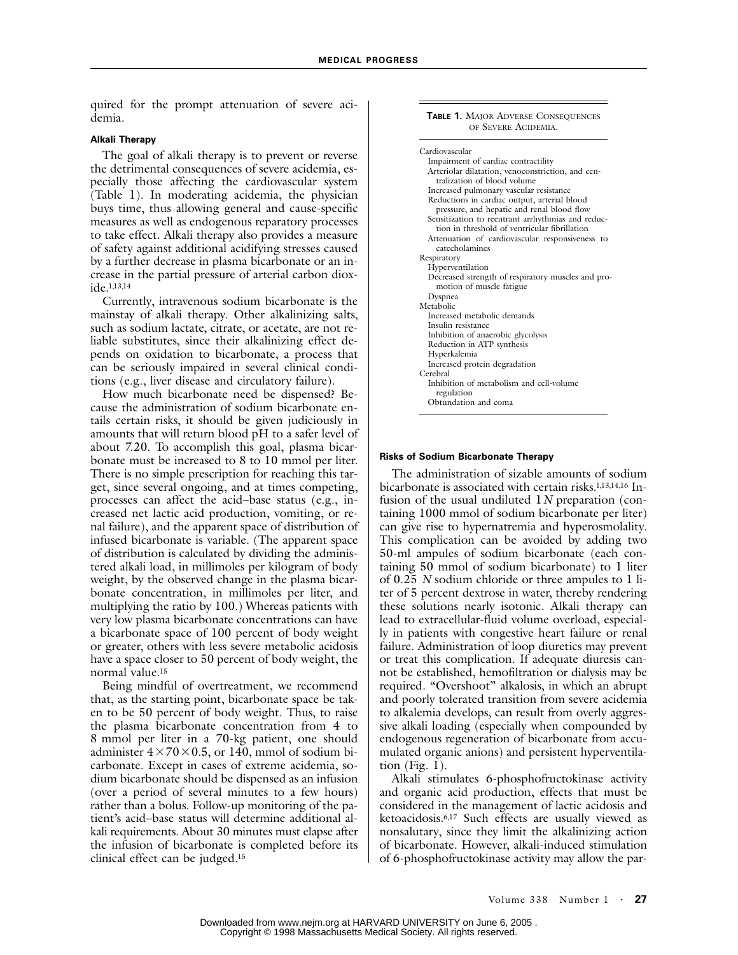quired for the prompt attenuation of severe acidemia.

## **Alkali Therapy**

The goal of alkali therapy is to prevent or reverse the detrimental consequences of severe acidemia, especially those affecting the cardiovascular system (Table 1). In moderating acidemia, the physician buys time, thus allowing general and cause-specific measures as well as endogenous reparatory processes to take effect. Alkali therapy also provides a measure of safety against additional acidifying stresses caused by a further decrease in plasma bicarbonate or an increase in the partial pressure of arterial carbon dioxide.1,13,14

Currently, intravenous sodium bicarbonate is the mainstay of alkali therapy. Other alkalinizing salts, such as sodium lactate, citrate, or acetate, are not reliable substitutes, since their alkalinizing effect depends on oxidation to bicarbonate, a process that can be seriously impaired in several clinical conditions (e.g., liver disease and circulatory failure).

How much bicarbonate need be dispensed? Because the administration of sodium bicarbonate entails certain risks, it should be given judiciously in amounts that will return blood pH to a safer level of about 7.20. To accomplish this goal, plasma bicarbonate must be increased to 8 to 10 mmol per liter. There is no simple prescription for reaching this target, since several ongoing, and at times competing, processes can affect the acid–base status (e.g., increased net lactic acid production, vomiting, or renal failure), and the apparent space of distribution of infused bicarbonate is variable. (The apparent space of distribution is calculated by dividing the administered alkali load, in millimoles per kilogram of body weight, by the observed change in the plasma bicarbonate concentration, in millimoles per liter, and multiplying the ratio by 100.) Whereas patients with very low plasma bicarbonate concentrations can have a bicarbonate space of 100 percent of body weight or greater, others with less severe metabolic acidosis have a space closer to 50 percent of body weight, the normal value.15

Being mindful of overtreatment, we recommend that, as the starting point, bicarbonate space be taken to be 50 percent of body weight. Thus, to raise the plasma bicarbonate concentration from 4 to 8 mmol per liter in a 70-kg patient, one should administer  $4 \times 70 \times 0.5$ , or 140, mmol of sodium bicarbonate. Except in cases of extreme acidemia, sodium bicarbonate should be dispensed as an infusion (over a period of several minutes to a few hours) rather than a bolus. Follow-up monitoring of the patient's acid–base status will determine additional alkali requirements. About 30 minutes must elapse after the infusion of bicarbonate is completed before its clinical effect can be judged.15

#### **TABLE 1.** MAJOR ADVERSE CONSEQUENCES OF SEVERE ACIDEMIA.

| Cardiovascular                                     |
|----------------------------------------------------|
| Impairment of cardiac contractility                |
| Arteriolar dilatation, venoconstriction, and cen-  |
| tralization of blood volume                        |
| Increased pulmonary vascular resistance            |
| Reductions in cardiac output, arterial blood       |
| pressure, and hepatic and renal blood flow         |
| Sensitization to reentrant arrhythmias and reduc-  |
| tion in threshold of ventricular fibrillation      |
| Attenuation of cardiovascular responsiveness to    |
| catecholamines                                     |
| Respiratory                                        |
| Hyperventilation                                   |
| Decreased strength of respiratory muscles and pro- |
| motion of muscle fatigue                           |
| Dyspnea                                            |
| Metabolic                                          |
| Increased metabolic demands                        |
| Insulin resistance                                 |
| Inhibition of anaerobic glycolysis                 |
| Reduction in ATP synthesis                         |
| Hyperkalemia                                       |
| Increased protein degradation                      |
| Cerebral                                           |
| Inhibition of metabolism and cell-volume           |
| regulation                                         |
| Obtundation and coma                               |

## **Risks of Sodium Bicarbonate Therapy**

The administration of sizable amounts of sodium bicarbonate is associated with certain risks.1,13,14,16 Infusion of the usual undiluted 1*N* preparation (containing 1000 mmol of sodium bicarbonate per liter) can give rise to hypernatremia and hyperosmolality. This complication can be avoided by adding two 50-ml ampules of sodium bicarbonate (each containing 50 mmol of sodium bicarbonate) to 1 liter of 0.25 *N* sodium chloride or three ampules to 1 liter of 5 percent dextrose in water, thereby rendering these solutions nearly isotonic. Alkali therapy can lead to extracellular-fluid volume overload, especially in patients with congestive heart failure or renal failure. Administration of loop diuretics may prevent or treat this complication. If adequate diuresis cannot be established, hemofiltration or dialysis may be required. "Overshoot" alkalosis, in which an abrupt and poorly tolerated transition from severe acidemia to alkalemia develops, can result from overly aggressive alkali loading (especially when compounded by endogenous regeneration of bicarbonate from accumulated organic anions) and persistent hyperventilation (Fig.  $1$ ).

Alkali stimulates 6-phosphofructokinase activity and organic acid production, effects that must be considered in the management of lactic acidosis and ketoacidosis.6,17 Such effects are usually viewed as nonsalutary, since they limit the alkalinizing action of bicarbonate. However, alkali-induced stimulation of 6-phosphofructokinase activity may allow the par-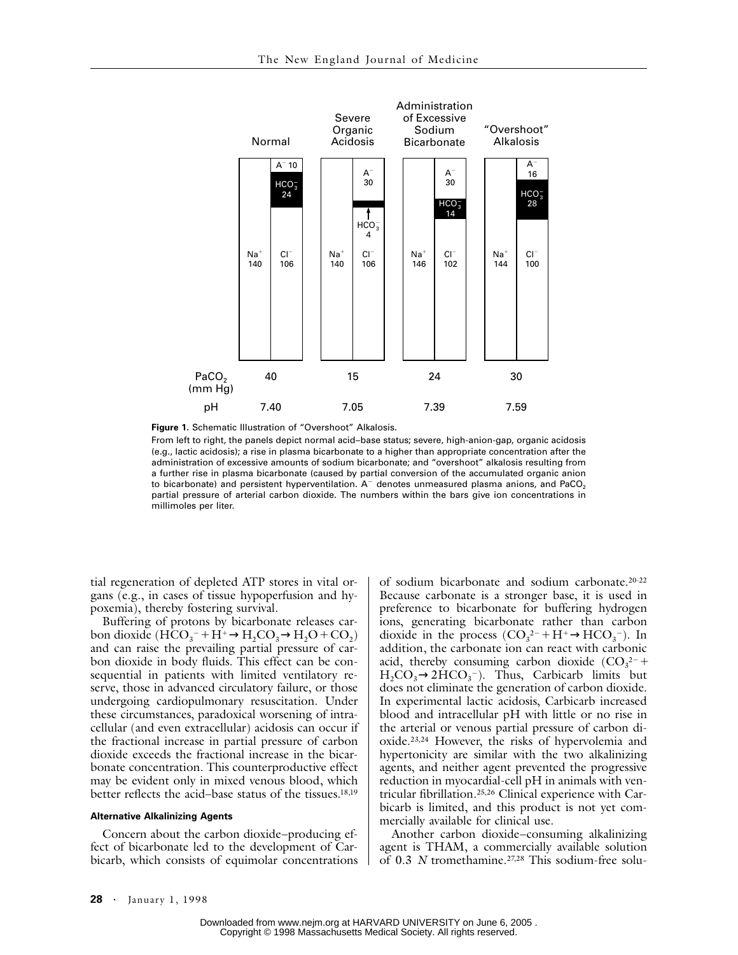

**Figure 1.** Schematic Illustration of "Overshoot" Alkalosis.

From left to right, the panels depict normal acid–base status; severe, high-anion-gap, organic acidosis (e.g., lactic acidosis); a rise in plasma bicarbonate to a higher than appropriate concentration after the administration of excessive amounts of sodium bicarbonate; and "overshoot" alkalosis resulting from a further rise in plasma bicarbonate (caused by partial conversion of the accumulated organic anion to bicarbonate) and persistent hyperventilation.  $A<sup>-</sup>$  denotes unmeasured plasma anions, and PaCO<sub>2</sub> partial pressure of arterial carbon dioxide. The numbers within the bars give ion concentrations in millimoles per liter.

tial regeneration of depleted ATP stores in vital organs (e.g., in cases of tissue hypoperfusion and hypoxemia), thereby fostering survival.

Buffering of protons by bicarbonate releases carbon dioxide ( $HCO_3^- + H^+ \rightarrow H_2CO_3 \rightarrow H_2O + CO_2$ ) and can raise the prevailing partial pressure of carbon dioxide in body fluids. This effect can be consequential in patients with limited ventilatory reserve, those in advanced circulatory failure, or those undergoing cardiopulmonary resuscitation. Under these circumstances, paradoxical worsening of intracellular (and even extracellular) acidosis can occur if the fractional increase in partial pressure of carbon dioxide exceeds the fractional increase in the bicarbonate concentration. This counterproductive effect may be evident only in mixed venous blood, which better reflects the acid–base status of the tissues.18,19

#### **Alternative Alkalinizing Agents**

Concern about the carbon dioxide–producing effect of bicarbonate led to the development of Carbicarb, which consists of equimolar concentrations of sodium bicarbonate and sodium carbonate.20-22 Because carbonate is a stronger base, it is used in preference to bicarbonate for buffering hydrogen ions, generating bicarbonate rather than carbon dioxide in the process  $(CO_3^{2-} + H^+ \rightarrow HCO_3^-)$ . In addition, the carbonate ion can react with carbonic acid, thereby consuming carbon dioxide  $(CO_3^2$ <sup>-</sup> +  $H_2CO_3 \rightarrow 2HCO_3^-$ ). Thus, Carbicarb limits but does not eliminate the generation of carbon dioxide. In experimental lactic acidosis, Carbicarb increased blood and intracellular pH with little or no rise in the arterial or venous partial pressure of carbon dioxide.23,24 However, the risks of hypervolemia and hypertonicity are similar with the two alkalinizing agents, and neither agent prevented the progressive reduction in myocardial-cell pH in animals with ventricular fibrillation.25,26 Clinical experience with Carbicarb is limited, and this product is not yet commercially available for clinical use.

Another carbon dioxide–consuming alkalinizing agent is THAM, a commercially available solution of 0.3 *N* tromethamine.27,28 This sodium-free solu-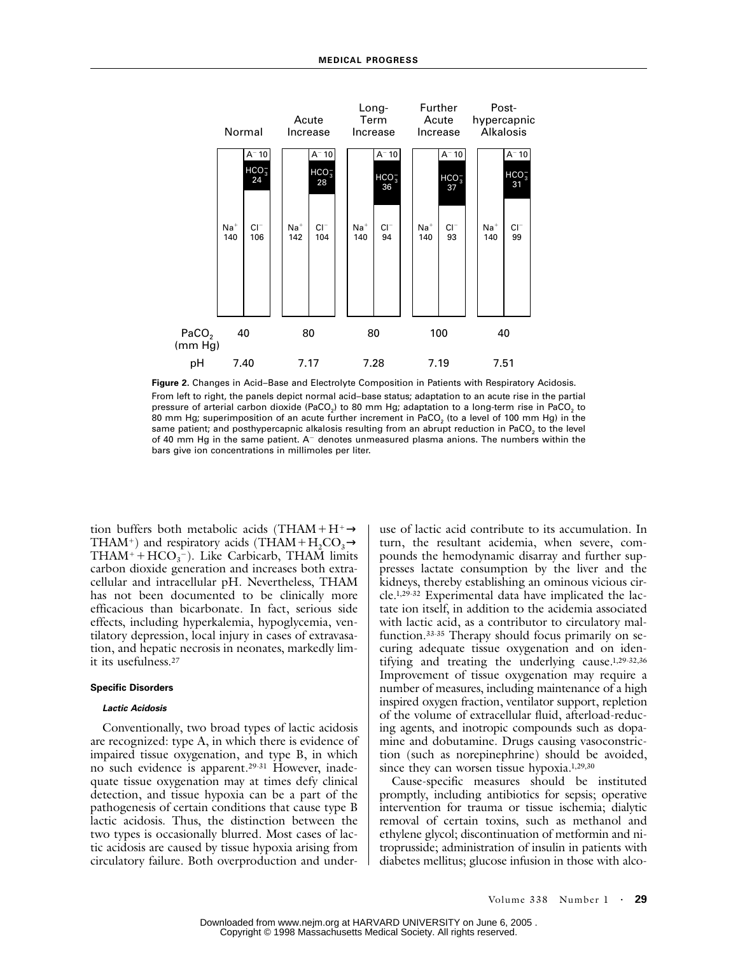

**Figure 2.** Changes in Acid–Base and Electrolyte Composition in Patients with Respiratory Acidosis. From left to right, the panels depict normal acid–base status; adaptation to an acute rise in the partial pressure of arterial carbon dioxide (PaCO<sub>2</sub>) to 80 mm Hg; adaptation to a long-term rise in PaCO<sub>2</sub> to 80 mm Hg; superimposition of an acute further increment in PaCO<sub>2</sub> (to a level of 100 mm Hg) in the same patient; and posthypercapnic alkalosis resulting from an abrupt reduction in PaCO<sub>2</sub> to the level of 40 mm Hg in the same patient.  $A^-$  denotes unmeasured plasma anions. The numbers within the bars give ion concentrations in millimoles per liter.

tion buffers both metabolic acids (THAM+H+ $\rightarrow$ THAM<sup>+</sup>) and respiratory acids (THAM+H<sub>2</sub>CO<sub>3</sub> $\rightarrow$  $THAM^+ + HCO_3^-$ ). Like Carbicarb, THAM limits carbon dioxide generation and increases both extracellular and intracellular pH. Nevertheless, THAM has not been documented to be clinically more efficacious than bicarbonate. In fact, serious side effects, including hyperkalemia, hypoglycemia, ventilatory depression, local injury in cases of extravasation, and hepatic necrosis in neonates, markedly limit its usefulness.27

#### **Specific Disorders**

#### *Lactic Acidosis*

Conventionally, two broad types of lactic acidosis are recognized: type A, in which there is evidence of impaired tissue oxygenation, and type B, in which no such evidence is apparent.29-31 However, inadequate tissue oxygenation may at times defy clinical detection, and tissue hypoxia can be a part of the pathogenesis of certain conditions that cause type B lactic acidosis. Thus, the distinction between the two types is occasionally blurred. Most cases of lactic acidosis are caused by tissue hypoxia arising from circulatory failure. Both overproduction and underuse of lactic acid contribute to its accumulation. In turn, the resultant acidemia, when severe, compounds the hemodynamic disarray and further suppresses lactate consumption by the liver and the kidneys, thereby establishing an ominous vicious circle.1,29-32 Experimental data have implicated the lactate ion itself, in addition to the acidemia associated with lactic acid, as a contributor to circulatory malfunction.33-35 Therapy should focus primarily on securing adequate tissue oxygenation and on identifying and treating the underlying cause.1,29-32,36 Improvement of tissue oxygenation may require a number of measures, including maintenance of a high inspired oxygen fraction, ventilator support, repletion of the volume of extracellular fluid, afterload-reducing agents, and inotropic compounds such as dopamine and dobutamine. Drugs causing vasoconstriction (such as norepinephrine) should be avoided, since they can worsen tissue hypoxia.<sup>1,29,30</sup>

Cause-specific measures should be instituted promptly, including antibiotics for sepsis; operative intervention for trauma or tissue ischemia; dialytic removal of certain toxins, such as methanol and ethylene glycol; discontinuation of metformin and nitroprusside; administration of insulin in patients with diabetes mellitus; glucose infusion in those with alco-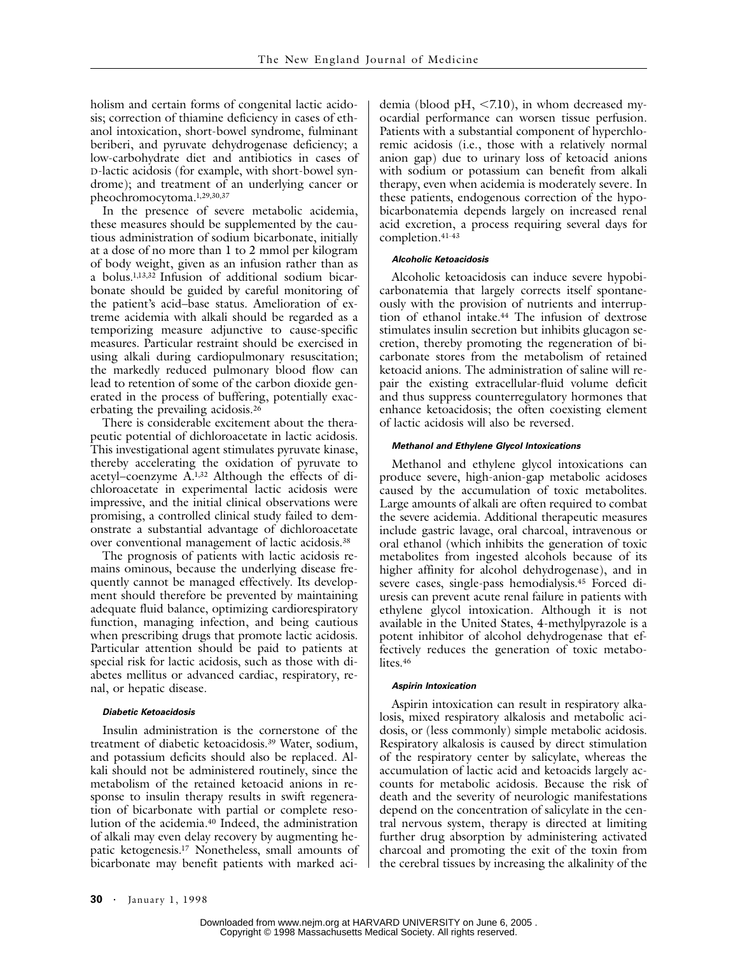holism and certain forms of congenital lactic acidosis; correction of thiamine deficiency in cases of ethanol intoxication, short-bowel syndrome, fulminant beriberi, and pyruvate dehydrogenase deficiency; a low-carbohydrate diet and antibiotics in cases of D-lactic acidosis (for example, with short-bowel syndrome); and treatment of an underlying cancer or pheochromocytoma.1,29,30,37

In the presence of severe metabolic acidemia, these measures should be supplemented by the cautious administration of sodium bicarbonate, initially at a dose of no more than 1 to 2 mmol per kilogram of body weight, given as an infusion rather than as a bolus.1,13,32 Infusion of additional sodium bicarbonate should be guided by careful monitoring of the patient's acid–base status. Amelioration of extreme acidemia with alkali should be regarded as a temporizing measure adjunctive to cause-specific measures. Particular restraint should be exercised in using alkali during cardiopulmonary resuscitation; the markedly reduced pulmonary blood flow can lead to retention of some of the carbon dioxide generated in the process of buffering, potentially exacerbating the prevailing acidosis.26

There is considerable excitement about the therapeutic potential of dichloroacetate in lactic acidosis. This investigational agent stimulates pyruvate kinase, thereby accelerating the oxidation of pyruvate to acetyl–coenzyme A.1,32 Although the effects of dichloroacetate in experimental lactic acidosis were impressive, and the initial clinical observations were promising, a controlled clinical study failed to demonstrate a substantial advantage of dichloroacetate over conventional management of lactic acidosis.38

The prognosis of patients with lactic acidosis remains ominous, because the underlying disease frequently cannot be managed effectively. Its development should therefore be prevented by maintaining adequate fluid balance, optimizing cardiorespiratory function, managing infection, and being cautious when prescribing drugs that promote lactic acidosis. Particular attention should be paid to patients at special risk for lactic acidosis, such as those with diabetes mellitus or advanced cardiac, respiratory, renal, or hepatic disease.

#### *Diabetic Ketoacidosis*

Insulin administration is the cornerstone of the treatment of diabetic ketoacidosis.39 Water, sodium, and potassium deficits should also be replaced. Alkali should not be administered routinely, since the metabolism of the retained ketoacid anions in response to insulin therapy results in swift regeneration of bicarbonate with partial or complete resolution of the acidemia.40 Indeed, the administration of alkali may even delay recovery by augmenting hepatic ketogenesis.17 Nonetheless, small amounts of bicarbonate may benefit patients with marked aci-

demia (blood  $pH$ , <7.10), in whom decreased myocardial performance can worsen tissue perfusion. Patients with a substantial component of hyperchloremic acidosis (i.e., those with a relatively normal anion gap) due to urinary loss of ketoacid anions with sodium or potassium can benefit from alkali therapy, even when acidemia is moderately severe. In these patients, endogenous correction of the hypobicarbonatemia depends largely on increased renal acid excretion, a process requiring several days for completion.41-43

#### *Alcoholic Ketoacidosis*

Alcoholic ketoacidosis can induce severe hypobicarbonatemia that largely corrects itself spontaneously with the provision of nutrients and interruption of ethanol intake.<sup>44</sup> The infusion of dextrose stimulates insulin secretion but inhibits glucagon secretion, thereby promoting the regeneration of bicarbonate stores from the metabolism of retained ketoacid anions. The administration of saline will repair the existing extracellular-fluid volume deficit and thus suppress counterregulatory hormones that enhance ketoacidosis; the often coexisting element of lactic acidosis will also be reversed.

### *Methanol and Ethylene Glycol Intoxications*

Methanol and ethylene glycol intoxications can produce severe, high-anion-gap metabolic acidoses caused by the accumulation of toxic metabolites. Large amounts of alkali are often required to combat the severe acidemia. Additional therapeutic measures include gastric lavage, oral charcoal, intravenous or oral ethanol (which inhibits the generation of toxic metabolites from ingested alcohols because of its higher affinity for alcohol dehydrogenase), and in severe cases, single-pass hemodialysis.45 Forced diuresis can prevent acute renal failure in patients with ethylene glycol intoxication. Although it is not available in the United States, 4-methylpyrazole is a potent inhibitor of alcohol dehydrogenase that effectively reduces the generation of toxic metabolites.<sup>46</sup>

#### *Aspirin Intoxication*

Aspirin intoxication can result in respiratory alkalosis, mixed respiratory alkalosis and metabolic acidosis, or (less commonly) simple metabolic acidosis. Respiratory alkalosis is caused by direct stimulation of the respiratory center by salicylate, whereas the accumulation of lactic acid and ketoacids largely accounts for metabolic acidosis. Because the risk of death and the severity of neurologic manifestations depend on the concentration of salicylate in the central nervous system, therapy is directed at limiting further drug absorption by administering activated charcoal and promoting the exit of the toxin from the cerebral tissues by increasing the alkalinity of the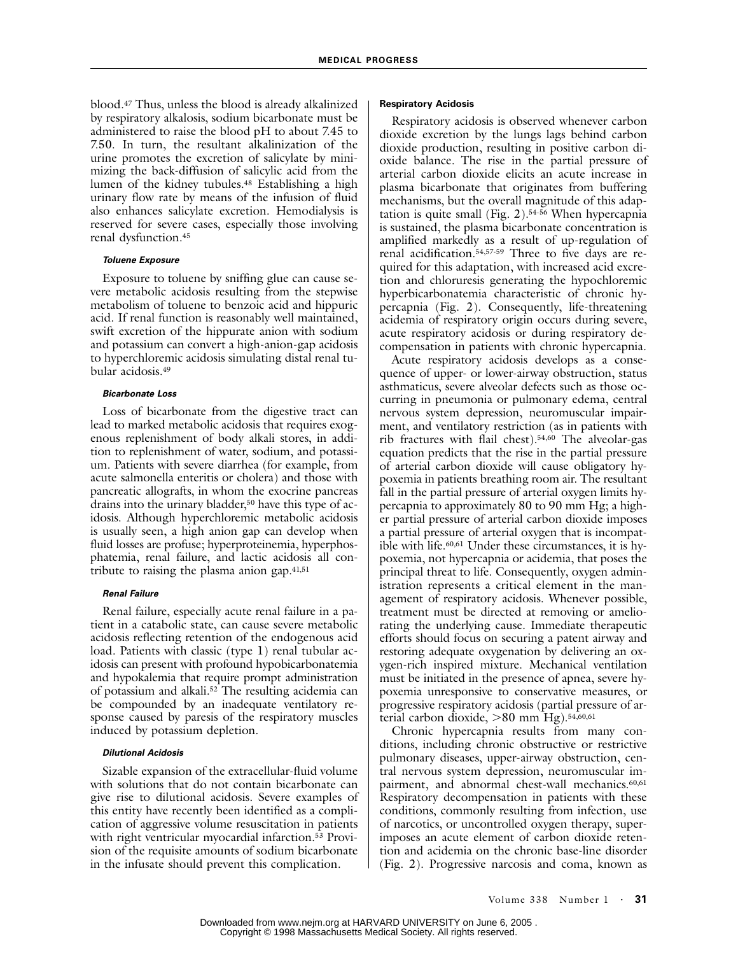blood.47 Thus, unless the blood is already alkalinized by respiratory alkalosis, sodium bicarbonate must be administered to raise the blood pH to about 7.45 to 7.50. In turn, the resultant alkalinization of the urine promotes the excretion of salicylate by minimizing the back-diffusion of salicylic acid from the lumen of the kidney tubules.48 Establishing a high urinary flow rate by means of the infusion of fluid also enhances salicylate excretion. Hemodialysis is reserved for severe cases, especially those involving renal dysfunction.45

### *Toluene Exposure*

Exposure to toluene by sniffing glue can cause severe metabolic acidosis resulting from the stepwise metabolism of toluene to benzoic acid and hippuric acid. If renal function is reasonably well maintained, swift excretion of the hippurate anion with sodium and potassium can convert a high-anion-gap acidosis to hyperchloremic acidosis simulating distal renal tubular acidosis.49

## *Bicarbonate Loss*

Loss of bicarbonate from the digestive tract can lead to marked metabolic acidosis that requires exogenous replenishment of body alkali stores, in addition to replenishment of water, sodium, and potassium. Patients with severe diarrhea (for example, from acute salmonella enteritis or cholera) and those with pancreatic allografts, in whom the exocrine pancreas drains into the urinary bladder,<sup>50</sup> have this type of acidosis. Although hyperchloremic metabolic acidosis is usually seen, a high anion gap can develop when fluid losses are profuse; hyperproteinemia, hyperphosphatemia, renal failure, and lactic acidosis all contribute to raising the plasma anion gap.41,51

# *Renal Failure*

Renal failure, especially acute renal failure in a patient in a catabolic state, can cause severe metabolic acidosis reflecting retention of the endogenous acid load. Patients with classic (type 1) renal tubular acidosis can present with profound hypobicarbonatemia and hypokalemia that require prompt administration of potassium and alkali.52 The resulting acidemia can be compounded by an inadequate ventilatory response caused by paresis of the respiratory muscles induced by potassium depletion.

# *Dilutional Acidosis*

Sizable expansion of the extracellular-fluid volume with solutions that do not contain bicarbonate can give rise to dilutional acidosis. Severe examples of this entity have recently been identified as a complication of aggressive volume resuscitation in patients with right ventricular myocardial infarction.<sup>53</sup> Provision of the requisite amounts of sodium bicarbonate in the infusate should prevent this complication.

## **Respiratory Acidosis**

Respiratory acidosis is observed whenever carbon dioxide excretion by the lungs lags behind carbon dioxide production, resulting in positive carbon dioxide balance. The rise in the partial pressure of arterial carbon dioxide elicits an acute increase in plasma bicarbonate that originates from buffering mechanisms, but the overall magnitude of this adaptation is quite small (Fig. 2).54-56 When hypercapnia is sustained, the plasma bicarbonate concentration is amplified markedly as a result of up-regulation of renal acidification.54,57-59 Three to five days are required for this adaptation, with increased acid excretion and chloruresis generating the hypochloremic hyperbicarbonatemia characteristic of chronic hypercapnia (Fig. 2). Consequently, life-threatening acidemia of respiratory origin occurs during severe, acute respiratory acidosis or during respiratory decompensation in patients with chronic hypercapnia.

Acute respiratory acidosis develops as a consequence of upper- or lower-airway obstruction, status asthmaticus, severe alveolar defects such as those occurring in pneumonia or pulmonary edema, central nervous system depression, neuromuscular impairment, and ventilatory restriction (as in patients with rib fractures with flail chest).54,60 The alveolar-gas equation predicts that the rise in the partial pressure of arterial carbon dioxide will cause obligatory hypoxemia in patients breathing room air. The resultant fall in the partial pressure of arterial oxygen limits hypercapnia to approximately 80 to 90 mm Hg; a higher partial pressure of arterial carbon dioxide imposes a partial pressure of arterial oxygen that is incompatible with life.60,61 Under these circumstances, it is hypoxemia, not hypercapnia or acidemia, that poses the principal threat to life. Consequently, oxygen administration represents a critical element in the management of respiratory acidosis. Whenever possible, treatment must be directed at removing or ameliorating the underlying cause. Immediate therapeutic efforts should focus on securing a patent airway and restoring adequate oxygenation by delivering an oxygen-rich inspired mixture. Mechanical ventilation must be initiated in the presence of apnea, severe hypoxemia unresponsive to conservative measures, or progressive respiratory acidosis (partial pressure of arterial carbon dioxide,  $>80$  mm Hg).<sup>54,60,61</sup>

Chronic hypercapnia results from many conditions, including chronic obstructive or restrictive pulmonary diseases, upper-airway obstruction, central nervous system depression, neuromuscular impairment, and abnormal chest-wall mechanics.<sup>60,61</sup> Respiratory decompensation in patients with these conditions, commonly resulting from infection, use of narcotics, or uncontrolled oxygen therapy, superimposes an acute element of carbon dioxide retention and acidemia on the chronic base-line disorder (Fig. 2). Progressive narcosis and coma, known as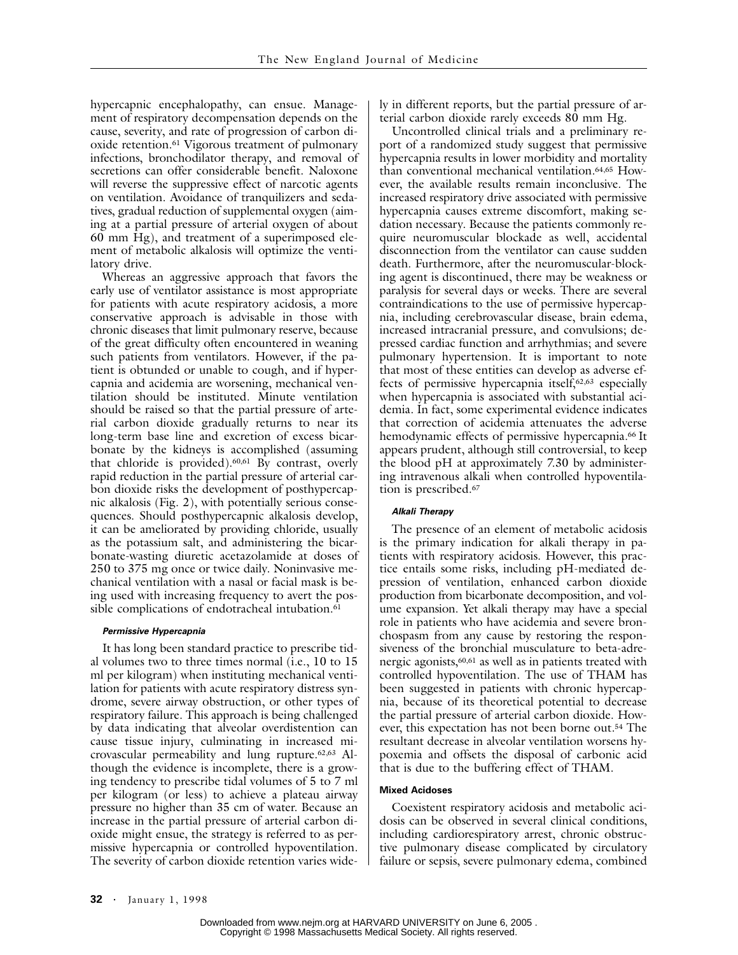hypercapnic encephalopathy, can ensue. Management of respiratory decompensation depends on the cause, severity, and rate of progression of carbon dioxide retention.61 Vigorous treatment of pulmonary infections, bronchodilator therapy, and removal of secretions can offer considerable benefit. Naloxone will reverse the suppressive effect of narcotic agents on ventilation. Avoidance of tranquilizers and sedatives, gradual reduction of supplemental oxygen (aiming at a partial pressure of arterial oxygen of about 60 mm Hg), and treatment of a superimposed element of metabolic alkalosis will optimize the ventilatory drive.

Whereas an aggressive approach that favors the early use of ventilator assistance is most appropriate for patients with acute respiratory acidosis, a more conservative approach is advisable in those with chronic diseases that limit pulmonary reserve, because of the great difficulty often encountered in weaning such patients from ventilators. However, if the patient is obtunded or unable to cough, and if hypercapnia and acidemia are worsening, mechanical ventilation should be instituted. Minute ventilation should be raised so that the partial pressure of arterial carbon dioxide gradually returns to near its long-term base line and excretion of excess bicarbonate by the kidneys is accomplished (assuming that chloride is provided).60,61 By contrast, overly rapid reduction in the partial pressure of arterial carbon dioxide risks the development of posthypercapnic alkalosis (Fig. 2), with potentially serious consequences. Should posthypercapnic alkalosis develop, it can be ameliorated by providing chloride, usually as the potassium salt, and administering the bicarbonate-wasting diuretic acetazolamide at doses of 250 to 375 mg once or twice daily. Noninvasive mechanical ventilation with a nasal or facial mask is being used with increasing frequency to avert the possible complications of endotracheal intubation.<sup>61</sup>

## *Permissive Hypercapnia*

It has long been standard practice to prescribe tidal volumes two to three times normal (i.e., 10 to 15 ml per kilogram) when instituting mechanical ventilation for patients with acute respiratory distress syndrome, severe airway obstruction, or other types of respiratory failure. This approach is being challenged by data indicating that alveolar overdistention can cause tissue injury, culminating in increased microvascular permeability and lung rupture.62,63 Although the evidence is incomplete, there is a growing tendency to prescribe tidal volumes of 5 to 7 ml per kilogram (or less) to achieve a plateau airway pressure no higher than 35 cm of water. Because an increase in the partial pressure of arterial carbon dioxide might ensue, the strategy is referred to as permissive hypercapnia or controlled hypoventilation. The severity of carbon dioxide retention varies widely in different reports, but the partial pressure of arterial carbon dioxide rarely exceeds 80 mm Hg.

Uncontrolled clinical trials and a preliminary report of a randomized study suggest that permissive hypercapnia results in lower morbidity and mortality than conventional mechanical ventilation.64,65 However, the available results remain inconclusive. The increased respiratory drive associated with permissive hypercapnia causes extreme discomfort, making sedation necessary. Because the patients commonly require neuromuscular blockade as well, accidental disconnection from the ventilator can cause sudden death. Furthermore, after the neuromuscular-blocking agent is discontinued, there may be weakness or paralysis for several days or weeks. There are several contraindications to the use of permissive hypercapnia, including cerebrovascular disease, brain edema, increased intracranial pressure, and convulsions; depressed cardiac function and arrhythmias; and severe pulmonary hypertension. It is important to note that most of these entities can develop as adverse effects of permissive hypercapnia itself,62,63 especially when hypercapnia is associated with substantial acidemia. In fact, some experimental evidence indicates that correction of acidemia attenuates the adverse hemodynamic effects of permissive hypercapnia.<sup>66</sup> It appears prudent, although still controversial, to keep the blood pH at approximately 7.30 by administering intravenous alkali when controlled hypoventilation is prescribed.67

### *Alkali Therapy*

The presence of an element of metabolic acidosis is the primary indication for alkali therapy in patients with respiratory acidosis. However, this practice entails some risks, including pH-mediated depression of ventilation, enhanced carbon dioxide production from bicarbonate decomposition, and volume expansion. Yet alkali therapy may have a special role in patients who have acidemia and severe bronchospasm from any cause by restoring the responsiveness of the bronchial musculature to beta-adrenergic agonists,60,61 as well as in patients treated with controlled hypoventilation. The use of THAM has been suggested in patients with chronic hypercapnia, because of its theoretical potential to decrease the partial pressure of arterial carbon dioxide. However, this expectation has not been borne out.54 The resultant decrease in alveolar ventilation worsens hypoxemia and offsets the disposal of carbonic acid that is due to the buffering effect of THAM.

## **Mixed Acidoses**

Coexistent respiratory acidosis and metabolic acidosis can be observed in several clinical conditions, including cardiorespiratory arrest, chronic obstructive pulmonary disease complicated by circulatory failure or sepsis, severe pulmonary edema, combined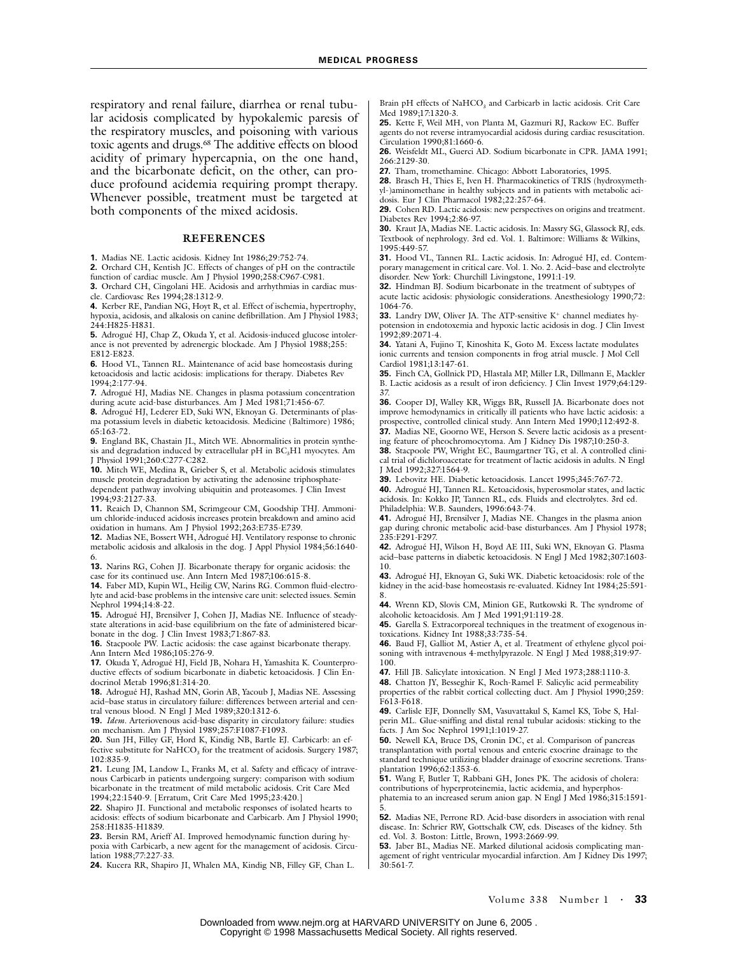respiratory and renal failure, diarrhea or renal tubular acidosis complicated by hypokalemic paresis of the respiratory muscles, and poisoning with various toxic agents and drugs.68 The additive effects on blood acidity of primary hypercapnia, on the one hand, and the bicarbonate deficit, on the other, can produce profound acidemia requiring prompt therapy. Whenever possible, treatment must be targeted at both components of the mixed acidosis.

## **REFERENCES**

**1.** Madias NE. Lactic acidosis. Kidney Int 1986;29:752-74.

**2.** Orchard CH, Kentish JC. Effects of changes of pH on the contractile function of cardiac muscle. Am J Physiol 1990;258:C967-C981.

**3.** Orchard CH, Cingolani HE. Acidosis and arrhythmias in cardiac muscle. Cardiovasc Res 1994;28:1312-9.

**4.** Kerber RE, Pandian NG, Hoyt R, et al. Effect of ischemia, hypertrophy, hypoxia, acidosis, and alkalosis on canine defibrillation. Am J Physiol 1983; 244:H825-H831.

**5.** Adrogué HJ, Chap Z, Okuda Y, et al. Acidosis-induced glucose intoler-ance is not prevented by adrenergic blockade. Am J Physiol 1988;255: E812-E823.

**6.** Hood VL, Tannen RL. Maintenance of acid base homeostasis during ketoacidosis and lactic acidosis: implications for therapy. Diabetes Rev 1994;2:177-94.

**7.** Adrogué HJ, Madias NE. Changes in plasma potassium concentration during acute acid-base disturbances. Am J Med 1981;71:456-67.

**8.** Adrogué HJ, Lederer ED, Suki WN, Eknoyan G. Determinants of plasma potassium levels in diabetic ketoacidosis. Medicine (Baltimore) 1986; 65:163-72.

**9.** England BK, Chastain JL, Mitch WE. Abnormalities in protein synthesis and degradation induced by extracellular pH in  $BC<sub>3</sub>HI$  myocytes. Am J Physiol 1991;260:C277-C282.

**10.** Mitch WE, Medina R, Grieber S, et al. Metabolic acidosis stimulates muscle protein degradation by activating the adenosine triphosphatedependent pathway involving ubiquitin and proteasomes. J Clin Invest 1994;93:2127-33.

**11.** Reaich D, Channon SM, Scrimgeour CM, Goodship THJ. Ammonium chloride-induced acidosis increases protein breakdown and amino acid oxidation in humans. Am J Physiol 1992;263:E735-E739.

**12.** Madias NE, Bossert WH, Adrogué HJ. Ventilatory response to chronic metabolic acidosis and alkalosis in the dog. J Appl Physiol 1984;56:1640- 6.

**13.** Narins RG, Cohen JJ. Bicarbonate therapy for organic acidosis: the case for its continued use. Ann Intern Med 1987;106:615-8.

**14.** Faber MD, Kupin WL, Heilig CW, Narins RG. Common fluid-electrolyte and acid-base problems in the intensive care unit: selected issues. Semin Nephrol 1994;14:8-22.

**15.** Adrogué HJ, Brensilver J, Cohen JJ, Madias NE. Influence of steadystate alterations in acid-base equilibrium on the fate of administered bicarbonate in the dog. J Clin Invest 1983;71:867-83.

**16.** Stacpoole PW. Lactic acidosis: the case against bicarbonate therapy. Ann Intern Med 1986;105:276-9.

**17.** Okuda Y, Adrogué HJ, Field JB, Nohara H, Yamashita K. Counterproductive effects of sodium bicarbonate in diabetic ketoacidosis. J Clin Endocrinol Metab 1996;81:314-20.

**18.** Adrogué HJ, Rashad MN, Gorin AB, Yacoub J, Madias NE. Assessing acid–base status in circulatory failure: differences between arterial and central venous blood. N Engl J Med 1989;320:1312-6.

**19.** *Idem.* Arteriovenous acid-base disparity in circulatory failure: studies on mechanism. Am J Physiol 1989;257:F1087-F1093.

**20.** Sun JH, Filley GF, Hord K, Kindig NB, Bartle EJ. Carbicarb: an effective substitute for  $\text{NaHCO}_3$  for the treatment of acidosis. Surgery 1987; 102:835-9.

**21.** Leung JM, Landow L, Franks M, et al. Safety and efficacy of intravenous Carbicarb in patients undergoing surgery: comparison with sodium bicarbonate in the treatment of mild metabolic acidosis. Crit Care Med 1994;22:1540-9. [Erratum, Crit Care Med 1995;23:420.]

**22.** Shapiro JI. Functional and metabolic responses of isolated hearts to acidosis: effects of sodium bicarbonate and Carbicarb. Am J Physiol 1990; 258:H1835-H1839.

**23.** Bersin RM, Arieff AI. Improved hemodynamic function during hypoxia with Carbicarb, a new agent for the management of acidosis. Circulation 1988;77:227-33.

**24.** Kucera RR, Shapiro JI, Whalen MA, Kindig NB, Filley GF, Chan L.

Brain pH effects of NaHCO<sub>3</sub> and Carbicarb in lactic acidosis. Crit Care Med 1989;17:1320-3.

**25.** Kette F, Weil MH, von Planta M, Gazmuri RJ, Rackow EC. Buffer agents do not reverse intramyocardial acidosis during cardiac resuscitation. Circulation 1990;81:1660-6.

**26.** Weisfeldt ML, Guerci AD. Sodium bicarbonate in CPR. JAMA 1991; 266:2129-30.

**27.** Tham, tromethamine. Chicago: Abbott Laboratories, 1995.

**28.** Brasch H, Thies E, Iven H. Pharmacokinetics of TRIS (hydroxymethyl-)aminomethane in healthy subjects and in patients with metabolic acidosis. Eur J Clin Pharmacol 1982;22:257-64.

**29.** Cohen RD. Lactic acidosis: new perspectives on origins and treatment. Diabetes Rev 1994;2:86-97.

**30.** Kraut JA, Madias NE. Lactic acidosis. In: Massry SG, Glassock RJ, eds. Textbook of nephrology. 3rd ed. Vol. 1. Baltimore: Williams & Wilkins, 1995:449-57.

**31.** Hood VL, Tannen RL. Lactic acidosis. In: Adrogué HJ, ed. Contemporary management in critical care. Vol. 1. No. 2. Acid–base and electrolyte disorder. New York: Churchill Livingstone, 1991:1-19.

**32.** Hindman BJ. Sodium bicarbonate in the treatment of subtypes of acute lactic acidosis: physiologic considerations. Anesthesiology 1990;72: 1064-76.

**33.** Landry DW, Oliver JA. The ATP-sensitive K<sup>+</sup> channel mediates hypotension in endotoxemia and hypoxic lactic acidosis in dog. J Clin Invest 1992;89:2071-4.

**34.** Yatani A, Fujino T, Kinoshita K, Goto M. Excess lactate modulates ionic currents and tension components in frog atrial muscle. J Mol Cell Cardiol 1981;13:147-61.

**35.** Finch CA, Gollnick PD, Hlastala MP, Miller LR, Dillmann E, Mackler B. Lactic acidosis as a result of iron deficiency. J Clin Invest 1979;64:129- 37.

**36.** Cooper DJ, Walley KR, Wiggs BR, Russell JA. Bicarbonate does not improve hemodynamics in critically ill patients who have lactic acidosis: a prospective, controlled clinical study. Ann Intern Med 1990;112:492-8.

**37.** Madias NE, Goorno WE, Herson S. Severe lactic acidosis as a presenting feature of pheochromocytoma. Am J Kidney Dis 1987;10:250-3.

**38.** Stacpoole PW, Wright EC, Baumgartner TG, et al. A controlled clinical trial of dichloroacetate for treatment of lactic acidosis in adults. N Engl J Med 1992;327:1564-9.

**39.** Lebovitz HE. Diabetic ketoacidosis. Lancet 1995;345:767-72.

**40.** Adrogué HJ, Tannen RL. Ketoacidosis, hyperosmolar states, and lactic acidosis. In: Kokko JP, Tannen RL, eds. Fluids and electrolytes. 3rd ed. Philadelphia: W.B. Saunders, 1996:643-74.

**41.** Adrogué HJ, Brensilver J, Madias NE. Changes in the plasma anion gap during chronic metabolic acid-base disturbances. Am J Physiol 1978; 235:F291-F297.

**42.** Adrogué HJ, Wilson H, Boyd AE III, Suki WN, Eknoyan G. Plasma acid–base patterns in diabetic ketoacidosis. N Engl J Med 1982;307:1603- 10.

**43.** Adrogué HJ, Eknoyan G, Suki WK. Diabetic ketoacidosis: role of the kidney in the acid-base homeostasis re-evaluated. Kidney Int 1984;25:591- 8.

**44.** Wrenn KD, Slovis CM, Minion GE, Rutkowski R. The syndrome of alcoholic ketoacidosis. Am J Med 1991;91:119-28.

**45.** Garella S. Extracorporeal techniques in the treatment of exogenous intoxications. Kidney Int 1988;33:735-54.

**46.** Baud FJ, Galliot M, Astier A, et al. Treatment of ethylene glycol poisoning with intravenous 4-methylpyrazole. N Engl J Med 1988;319:97-100.

**47.** Hill JB. Salicylate intoxication. N Engl J Med 1973;288:1110-3.

**48.** Chatton JY, Besseghir K, Roch-Ramel F. Salicylic acid permeability properties of the rabbit cortical collecting duct. Am J Physiol 1990;259: F613-F618.

**49.** Carlisle EJF, Donnelly SM, Vasuvattakul S, Kamel KS, Tobe S, Halperin ML. Glue-sniffing and distal renal tubular acidosis: sticking to the facts. J Am Soc Nephrol 1991;1:1019-27.

**50.** Newell KA, Bruce DS, Cronin DC, et al. Comparison of pancreas transplantation with portal venous and enteric exocrine drainage to the standard technique utilizing bladder drainage of exocrine secretions. Transplantation 1996;62:1353-6.

**51.** Wang F, Butler T, Rabbani GH, Jones PK. The acidosis of cholera: contributions of hyperproteinemia, lactic acidemia, and hyperphosphatemia to an increased serum anion gap. N Engl J Med 1986;315:1591- 5.

**52.** Madias NE, Perrone RD. Acid-base disorders in association with renal disease. In: Schrier RW, Gottschalk CW, eds. Diseases of the kidney. 5th ed. Vol. 3. Boston: Little, Brown, 1993:2669-99.

**53.** Jaber BL, Madias NE. Marked dilutional acidosis complicating management of right ventricular myocardial infarction. Am J Kidney Dis 1997; 30:561-7.